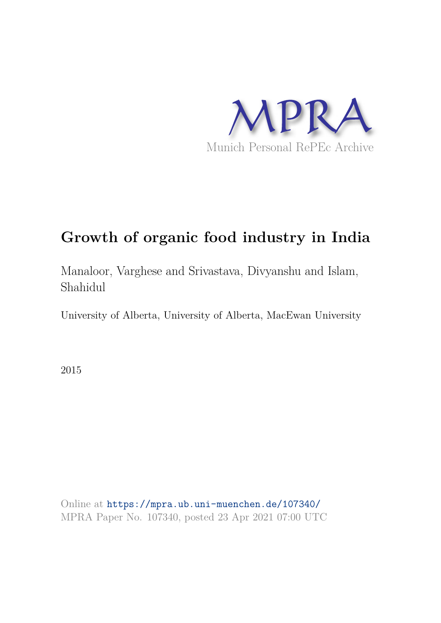

# **Growth of organic food industry in India**

Manaloor, Varghese and Srivastava, Divyanshu and Islam, Shahidul

University of Alberta, University of Alberta, MacEwan University

2015

Online at https://mpra.ub.uni-muenchen.de/107340/ MPRA Paper No. 107340, posted 23 Apr 2021 07:00 UTC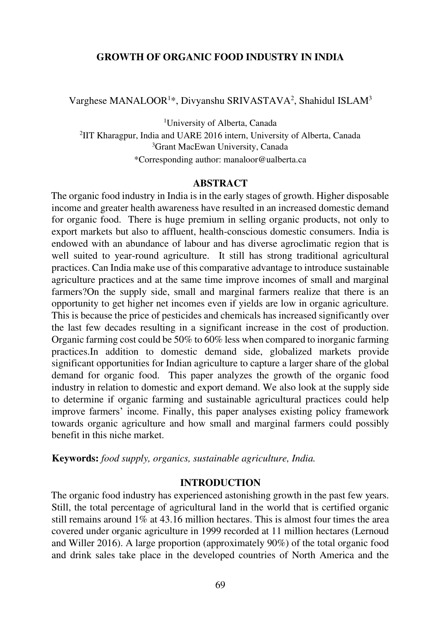## **GROWTH OF ORGANIC FOOD INDUSTRY IN INDIA**

Varghese MANALOOR<sup>1\*</sup>, Divyanshu SRIVASTAVA<sup>2</sup>, Shahidul ISLAM<sup>3</sup>

University of Alberta, Canada IIT Kharagpur, India and UARE 2016 intern, University of Alberta, Canada Grant MacEwan University, Canada \*Corresponding author: manaloor@ualberta.ca

#### **ABSTRACT**

The organic food industry in India is in the early stages of growth. Higher disposable income and greater health awareness have resulted in an increased domestic demand for organic food. There is huge premium in selling organic products, not only to export markets but also to affluent, health-conscious domestic consumers. India is endowed with an abundance of labour and has diverse agroclimatic region that is well suited to year-round agriculture. It still has strong traditional agricultural practices. Can India make use of this comparative advantage to introduce sustainable agriculture practices and at the same time improve incomes of small and marginal farmers?On the supply side, small and marginal farmers realize that there is an opportunity to get higher net incomes even if yields are low in organic agriculture. This is because the price of pesticides and chemicals has increased significantly over the last few decades resulting in a significant increase in the cost of production. Organic farming cost could be 50% to 60% less when compared to inorganic farming practices.In addition to domestic demand side, globalized markets provide significant opportunities for Indian agriculture to capture a larger share of the global demand for organic food. This paper analyzes the growth of the organic food industry in relation to domestic and export demand. We also look at the supply side to determine if organic farming and sustainable agricultural practices could help improve farmers' income. Finally, this paper analyses existing policy framework towards organic agriculture and how small and marginal farmers could possibly benefit in this niche market.

**Keywords:** *food supply, organics, sustainable agriculture, India.*

## **INTRODUCTION**

The organic food industry has experienced astonishing growth in the past few years. Still, the total percentage of agricultural land in the world that is certified organic still remains around 1% at 43.16 million hectares. This is almost four times the area covered under organic agriculture in 1999 recorded at 11 million hectares (Lernoud and Willer 2016). A large proportion (approximately 90%) of the total organic food and drink sales take place in the developed countries of North America and the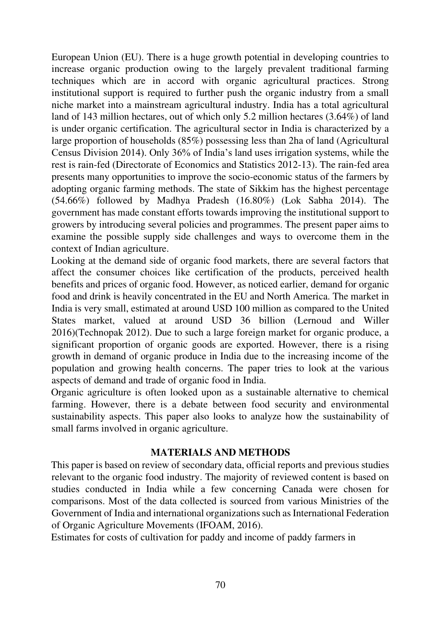European Union (EU). There is a huge growth potential in developing countries to increase organic production owing to the largely prevalent traditional farming techniques which are in accord with organic agricultural practices. Strong institutional support is required to further push the organic industry from a small niche market into a mainstream agricultural industry. India has a total agricultural land of 143 million hectares, out of which only 5.2 million hectares (3.64%) of land is under organic certification. The agricultural sector in India is characterized by a large proportion of households (85%) possessing less than 2ha of land (Agricultural Census Division 2014). Only 36% of India's land uses irrigation systems, while the rest is rain-fed (Directorate of Economics and Statistics 2012-13). The rain-fed area presents many opportunities to improve the socio-economic status of the farmers by adopting organic farming methods. The state of Sikkim has the highest percentage (54.66%) followed by Madhya Pradesh (16.80%) (Lok Sabha 2014). The government has made constant efforts towards improving the institutional support to growers by introducing several policies and programmes. The present paper aims to examine the possible supply side challenges and ways to overcome them in the context of Indian agriculture.

Looking at the demand side of organic food markets, there are several factors that affect the consumer choices like certification of the products, perceived health benefits and prices of organic food. However, as noticed earlier, demand for organic food and drink is heavily concentrated in the EU and North America. The market in India is very small, estimated at around USD 100 million as compared to the United States market, valued at around USD 36 billion (Lernoud and Willer 2016)(Technopak 2012). Due to such a large foreign market for organic produce, a significant proportion of organic goods are exported. However, there is a rising growth in demand of organic produce in India due to the increasing income of the population and growing health concerns. The paper tries to look at the various aspects of demand and trade of organic food in India.

Organic agriculture is often looked upon as a sustainable alternative to chemical farming. However, there is a debate between food security and environmental sustainability aspects. This paper also looks to analyze how the sustainability of small farms involved in organic agriculture.

## **MATERIALS AND METHODS**

This paper is based on review of secondary data, official reports and previous studies relevant to the organic food industry. The majority of reviewed content is based on studies conducted in India while a few concerning Canada were chosen for comparisons. Most of the data collected is sourced from various Ministries of the Government of India and international organizations such as International Federation of Organic Agriculture Movements (IFOAM, 2016).

Estimates for costs of cultivation for paddy and income of paddy farmers in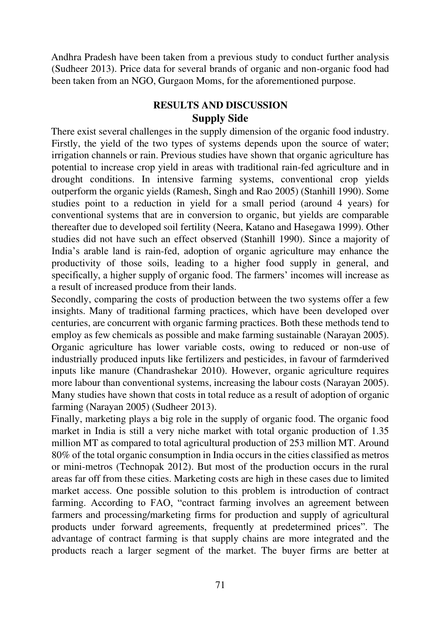Andhra Pradesh have been taken from a previous study to conduct further analysis (Sudheer 2013). Price data for several brands of organic and non-organic food had been taken from an NGO, Gurgaon Moms, for the aforementioned purpose.

# **RESULTS AND DISCUSSION Supply Side**

There exist several challenges in the supply dimension of the organic food industry. Firstly, the yield of the two types of systems depends upon the source of water; irrigation channels or rain. Previous studies have shown that organic agriculture has potential to increase crop yield in areas with traditional rain-fed agriculture and in drought conditions. In intensive farming systems, conventional crop yields outperform the organic yields (Ramesh, Singh and Rao 2005) (Stanhill 1990). Some studies point to a reduction in yield for a small period (around 4 years) for conventional systems that are in conversion to organic, but yields are comparable thereafter due to developed soil fertility (Neera, Katano and Hasegawa 1999). Other studies did not have such an effect observed (Stanhill 1990). Since a majority of India's arable land is rain-fed, adoption of organic agriculture may enhance the productivity of those soils, leading to a higher food supply in general, and specifically, a higher supply of organic food. The farmers' incomes will increase as a result of increased produce from their lands.

Secondly, comparing the costs of production between the two systems offer a few insights. Many of traditional farming practices, which have been developed over centuries, are concurrent with organic farming practices. Both these methods tend to employ as few chemicals as possible and make farming sustainable (Narayan 2005). Organic agriculture has lower variable costs, owing to reduced or non-use of industrially produced inputs like fertilizers and pesticides, in favour of farmderived inputs like manure (Chandrashekar 2010). However, organic agriculture requires more labour than conventional systems, increasing the labour costs (Narayan 2005). Many studies have shown that costs in total reduce as a result of adoption of organic farming (Narayan 2005) (Sudheer 2013).

Finally, marketing plays a big role in the supply of organic food. The organic food market in India is still a very niche market with total organic production of 1.35 million MT as compared to total agricultural production of 253 million MT. Around 80% of the total organic consumption in India occurs in the cities classified as metros or mini-metros (Technopak 2012). But most of the production occurs in the rural areas far off from these cities. Marketing costs are high in these cases due to limited market access. One possible solution to this problem is introduction of contract farming. According to FAO, "contract farming involves an agreement between farmers and processing/marketing firms for production and supply of agricultural products under forward agreements, frequently at predetermined prices". The advantage of contract farming is that supply chains are more integrated and the products reach a larger segment of the market. The buyer firms are better at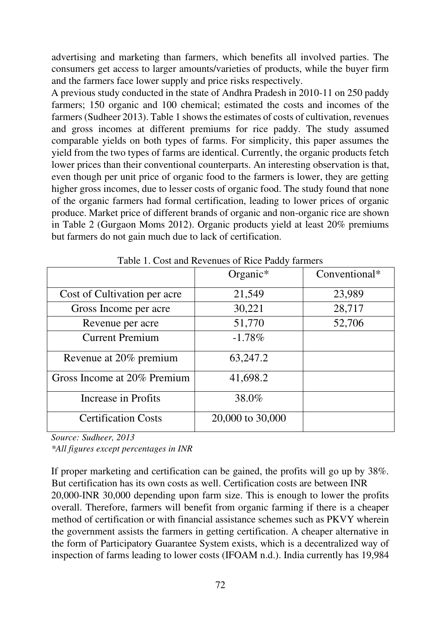advertising and marketing than farmers, which benefits all involved parties. The consumers get access to larger amounts/varieties of products, while the buyer firm and the farmers face lower supply and price risks respectively.

A previous study conducted in the state of Andhra Pradesh in 2010-11 on 250 paddy farmers; 150 organic and 100 chemical; estimated the costs and incomes of the farmers (Sudheer 2013). Table 1 shows the estimates of costs of cultivation, revenues and gross incomes at different premiums for rice paddy. The study assumed comparable yields on both types of farms. For simplicity, this paper assumes the yield from the two types of farms are identical. Currently, the organic products fetch lower prices than their conventional counterparts. An interesting observation is that, even though per unit price of organic food to the farmers is lower, they are getting higher gross incomes, due to lesser costs of organic food. The study found that none of the organic farmers had formal certification, leading to lower prices of organic produce. Market price of different brands of organic and non-organic rice are shown in Table 2 (Gurgaon Moms 2012). Organic products yield at least 20% premiums but farmers do not gain much due to lack of certification.

| $\ldots$ coverage $\ldots$ . There is |                  |               |  |  |  |  |
|---------------------------------------|------------------|---------------|--|--|--|--|
|                                       | Organic*         | Conventional* |  |  |  |  |
| Cost of Cultivation per acre          | 21,549           | 23,989        |  |  |  |  |
| Gross Income per acre                 | 30,221           | 28,717        |  |  |  |  |
| Revenue per acre                      | 51,770           | 52,706        |  |  |  |  |
| <b>Current Premium</b>                | $-1.78%$         |               |  |  |  |  |
| Revenue at 20% premium                | 63,247.2         |               |  |  |  |  |
| Gross Income at 20% Premium           | 41,698.2         |               |  |  |  |  |
| Increase in Profits                   | 38.0%            |               |  |  |  |  |
| <b>Certification Costs</b>            | 20,000 to 30,000 |               |  |  |  |  |

Table 1. Cost and Revenues of Rice Paddy farmers

*Source: Sudheer, 2013*

*\*All figures except percentages in INR*

If proper marketing and certification can be gained, the profits will go up by 38%. But certification has its own costs as well. Certification costs are between INR 20,000-INR 30,000 depending upon farm size. This is enough to lower the profits overall. Therefore, farmers will benefit from organic farming if there is a cheaper method of certification or with financial assistance schemes such as PKVY wherein the government assists the farmers in getting certification. A cheaper alternative in the form of Participatory Guarantee System exists, which is a decentralized way of inspection of farms leading to lower costs (IFOAM n.d.). India currently has 19,984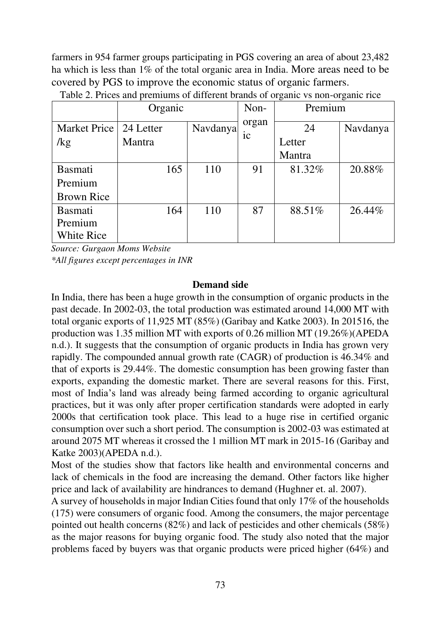farmers in 954 farmer groups participating in PGS covering an area of about 23,482 ha which is less than 1% of the total organic area in India. More areas need to be covered by PGS to improve the economic status of organic farmers.

|                   | Organic   |          | Non-  | Premium |          |
|-------------------|-----------|----------|-------|---------|----------|
| Market Price      | 24 Letter | Navdanya | organ | 24      | Navdanya |
| $\log$            | Mantra    |          | 1C    | Letter  |          |
|                   |           |          |       | Mantra  |          |
| <b>Basmati</b>    | 165       | 110      | 91    | 81.32%  | 20.88%   |
| Premium           |           |          |       |         |          |
| <b>Brown Rice</b> |           |          |       |         |          |
| <b>Basmati</b>    | 164       | 110      | 87    | 88.51%  | 26.44%   |
| Premium           |           |          |       |         |          |
| <b>White Rice</b> |           |          |       |         |          |

Table 2. Prices and premiums of different brands of organic vs non-organic rice

*Source: Gurgaon Moms Website \*All figures except percentages in INR*

# **Demand side**

In India, there has been a huge growth in the consumption of organic products in the past decade. In 2002-03, the total production was estimated around 14,000 MT with total organic exports of 11,925 MT (85%) (Garibay and Katke 2003). In 201516, the production was 1.35 million MT with exports of 0.26 million MT (19.26%)(APEDA n.d.). It suggests that the consumption of organic products in India has grown very rapidly. The compounded annual growth rate (CAGR) of production is 46.34% and that of exports is 29.44%. The domestic consumption has been growing faster than exports, expanding the domestic market. There are several reasons for this. First, most of India's land was already being farmed according to organic agricultural practices, but it was only after proper certification standards were adopted in early 2000s that certification took place. This lead to a huge rise in certified organic consumption over such a short period. The consumption is 2002-03 was estimated at around 2075 MT whereas it crossed the 1 million MT mark in 2015-16 (Garibay and Katke 2003)(APEDA n.d.).

Most of the studies show that factors like health and environmental concerns and lack of chemicals in the food are increasing the demand. Other factors like higher price and lack of availability are hindrances to demand (Hughner et. al. 2007).

A survey of households in major Indian Cities found that only 17% of the households (175) were consumers of organic food. Among the consumers, the major percentage pointed out health concerns (82%) and lack of pesticides and other chemicals (58%) as the major reasons for buying organic food. The study also noted that the major problems faced by buyers was that organic products were priced higher (64%) and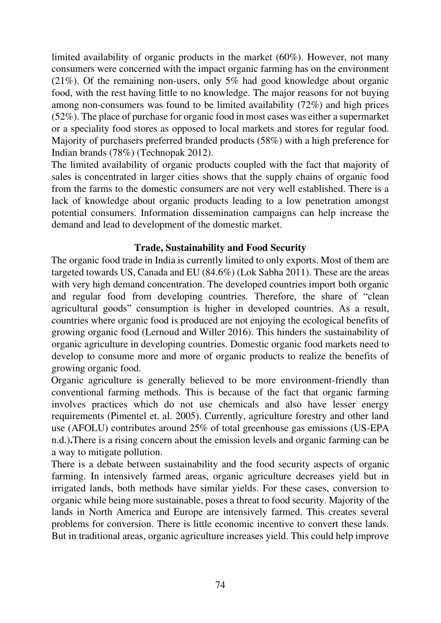limited availability of organic products in the market (60%). However, not many consumers were concerned with the impact organic farming has on the environment (21%). Of the remaining non-users, only 5% had good knowledge about organic food, with the rest having little to no knowledge. The major reasons for not buying among non-consumers was found to be limited availability (72%) and high prices (52%). The place of purchase for organic food in most cases was either a supermarket or a speciality food stores as opposed to local markets and stores for regular food. Majority of purchasers preferred branded products (58%) with a high preference for Indian brands (78%) (Technopak 2012).

The limited availability of organic products coupled with the fact that majority of sales is concentrated in larger cities shows that the supply chains of organic food from the farms to the domestic consumers are not very well established. There is a lack of knowledge about organic products leading to a low penetration amongst potential consumers. Information dissemination campaigns can help increase the demand and lead to development of the domestic market.

# **Trade, Sustainability and Food Security**

The organic food trade in India is currently limited to only exports. Most of them are targeted towards US, Canada and EU (84.6%) (Lok Sabha 2011). These are the areas with very high demand concentration. The developed countries import both organic and regular food from developing countries. Therefore, the share of "clean agricultural goods" consumption is higher in developed countries. As a result, countries where organic food is produced are not enjoying the ecological benefits of growing organic food (Lernoud and Willer 2016). This hinders the sustainability of organic agriculture in developing countries. Domestic organic food markets need to develop to consume more and more of organic products to realize the benefits of growing organic food.

Organic agriculture is generally believed to be more environment-friendly than conventional farming methods. This is because of the fact that organic farming involves practices which do not use chemicals and also have lesser energy requirements (Pimentel et. al. 2005). Currently, agriculture forestry and other land use (AFOLU) contributes around 25% of total greenhouse gas emissions (US-EPA n.d.)**.**There is a rising concern about the emission levels and organic farming can be a way to mitigate pollution.

There is a debate between sustainability and the food security aspects of organic farming. In intensively farmed areas, organic agriculture decreases yield but in irrigated lands, both methods have similar yields. For these cases, conversion to organic while being more sustainable, poses a threat to food security. Majority of the lands in North America and Europe are intensively farmed. This creates several problems for conversion. There is little economic incentive to convert these lands. But in traditional areas, organic agriculture increases yield. This could help improve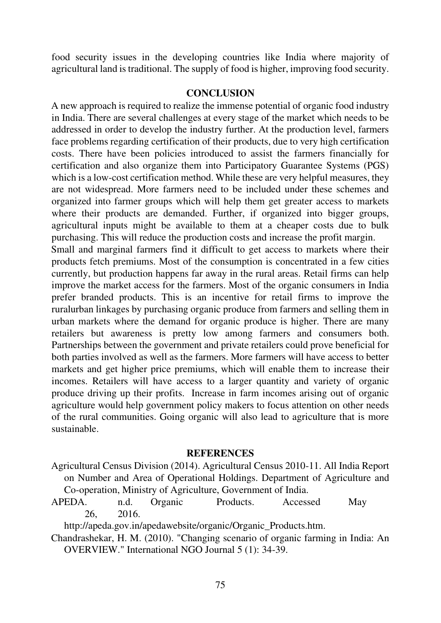food security issues in the developing countries like India where majority of agricultural land is traditional. The supply of food is higher, improving food security.

## **CONCLUSION**

A new approach is required to realize the immense potential of organic food industry in India. There are several challenges at every stage of the market which needs to be addressed in order to develop the industry further. At the production level, farmers face problems regarding certification of their products, due to very high certification costs. There have been policies introduced to assist the farmers financially for certification and also organize them into Participatory Guarantee Systems (PGS) which is a low-cost certification method. While these are very helpful measures, they are not widespread. More farmers need to be included under these schemes and organized into farmer groups which will help them get greater access to markets where their products are demanded. Further, if organized into bigger groups, agricultural inputs might be available to them at a cheaper costs due to bulk purchasing. This will reduce the production costs and increase the profit margin.

Small and marginal farmers find it difficult to get access to markets where their products fetch premiums. Most of the consumption is concentrated in a few cities currently, but production happens far away in the rural areas. Retail firms can help improve the market access for the farmers. Most of the organic consumers in India prefer branded products. This is an incentive for retail firms to improve the ruralurban linkages by purchasing organic produce from farmers and selling them in urban markets where the demand for organic produce is higher. There are many retailers but awareness is pretty low among farmers and consumers both. Partnerships between the government and private retailers could prove beneficial for both parties involved as well as the farmers. More farmers will have access to better markets and get higher price premiums, which will enable them to increase their incomes. Retailers will have access to a larger quantity and variety of organic produce driving up their profits. Increase in farm incomes arising out of organic agriculture would help government policy makers to focus attention on other needs of the rural communities. Going organic will also lead to agriculture that is more sustainable.

### **REFERENCES**

- Agricultural Census Division (2014). Agricultural Census 2010-11. All India Report on Number and Area of Operational Holdings. Department of Agriculture and Co-operation, Ministry of Agriculture, Government of India.
- APEDA. n.d. Organic Products. Accessed May 26, 2016.

http://apeda.gov.in/apedawebsite/organic/Organic\_Products.htm.

Chandrashekar, H. M. (2010). "Changing scenario of organic farming in India: An OVERVIEW." International NGO Journal 5 (1): 34-39.